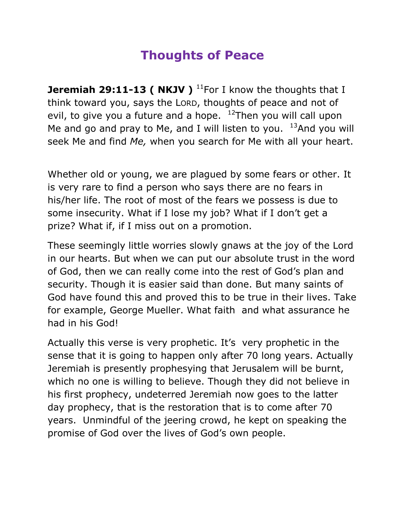## **Thoughts of Peace**

**Jeremiah 29:11-13 ( NKJV )** <sup>11</sup>For I know the thoughts that I think toward you, says the LORD, thoughts of peace and not of evil, to give you a future and a hope.  $12$ Then you will call upon Me and go and pray to Me, and I will listen to you.  $13$ And you will seek Me and find *Me,* when you search for Me with all your heart.

Whether old or young, we are plagued by some fears or other. It is very rare to find a person who says there are no fears in his/her life. The root of most of the fears we possess is due to some insecurity. What if I lose my job? What if I don't get a prize? What if, if I miss out on a promotion.

These seemingly little worries slowly gnaws at the joy of the Lord in our hearts. But when we can put our absolute trust in the word of God, then we can really come into the rest of God's plan and security. Though it is easier said than done. But many saints of God have found this and proved this to be true in their lives. Take for example, George Mueller. What faith and what assurance he had in his God!

Actually this verse is very prophetic. It's very prophetic in the sense that it is going to happen only after 70 long years. Actually Jeremiah is presently prophesying that Jerusalem will be burnt, which no one is willing to believe. Though they did not believe in his first prophecy, undeterred Jeremiah now goes to the latter day prophecy, that is the restoration that is to come after 70 years. Unmindful of the jeering crowd, he kept on speaking the promise of God over the lives of God's own people.